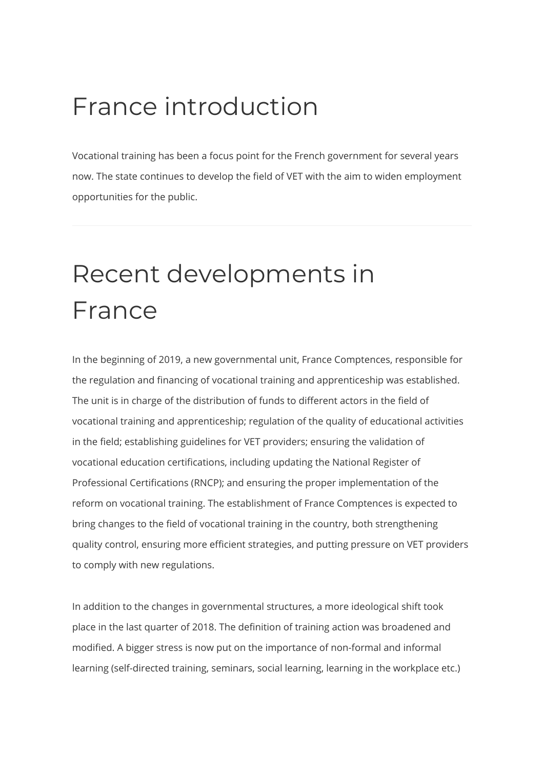### France introduction

Vocational training has been a focus point for the French government for several years now. The state continues to develop the field of VET with the aim to widen employment opportunities for the public.

## Recent developments in France

In the beginning of 2019, a new governmental unit, France Comptences, responsible for the regulation and financing of vocational training and apprenticeship was established. The unit is in charge of the distribution of funds to different actors in the field of vocational training and apprenticeship; regulation of the quality of educational activities in the field; establishing guidelines for VET providers; ensuring the validation of vocational education certifications, including updating the National Register of Professional Certifications (RNCP); and ensuring the proper implementation of the reform on vocational training. The establishment of France Comptences is expected to bring changes to the field of vocational training in the country, both strengthening quality control, ensuring more efficient strategies, and putting pressure on VET providers to comply with new regulations.

In addition to the changes in governmental structures, a more ideological shift took place in the last quarter of 2018. The definition of training action was broadened and modified. A bigger stress is now put on the importance of non-formal and informal learning (self-directed training, seminars, social learning, learning in the workplace etc.)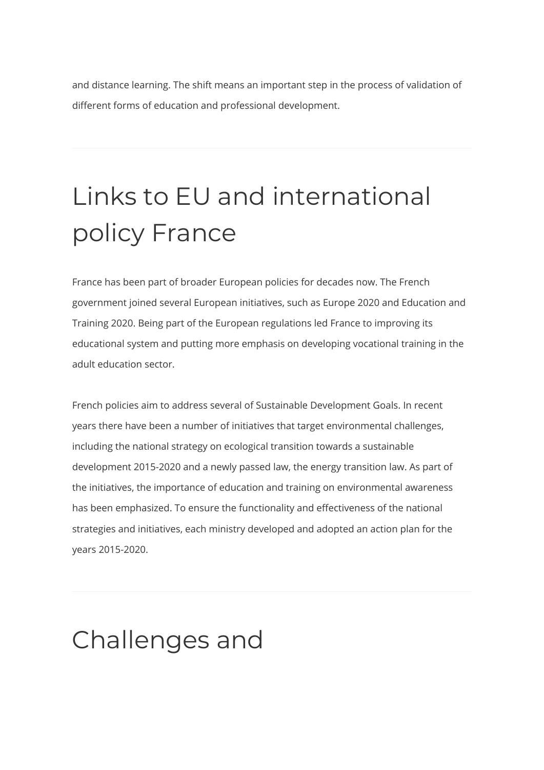and distance learning. The shift means an important step in the process of validation of different forms of education and professional development.

# Links to EU and international policy France

France has been part of broader European policies for decades now. The French government joined several European initiatives, such as Europe 2020 and Education and Training 2020. Being part of the European regulations led France to improving its educational system and putting more emphasis on developing vocational training in the adult education sector.

French policies aim to address several of Sustainable Development Goals. In recent years there have been a number of initiatives that target environmental challenges, including the national strategy on ecological transition towards a sustainable development 2015-2020 and a newly passed law, the energy transition law. As part of the initiatives, the importance of education and training on environmental awareness has been emphasized. To ensure the functionality and effectiveness of the national strategies and initiatives, each ministry developed and adopted an action plan for the years 2015-2020.

### Challenges and